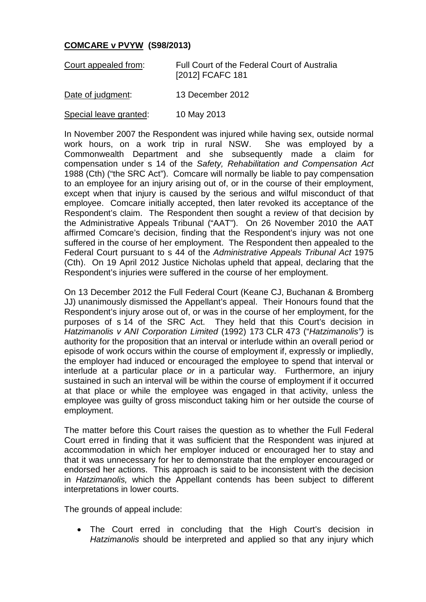## **COMCARE v PVYW (S98/2013)**

| Court appealed from: | Full Court of the Federal Court of Australia |
|----------------------|----------------------------------------------|
|                      | [2012] FCAFC 181                             |

Date of judgment: 13 December 2012

Special leave granted: 10 May 2013

In November 2007 the Respondent was injured while having sex, outside normal work hours, on a work trip in rural NSW. She was employed by a Commonwealth Department and she subsequently made a claim for compensation under s 14 of the *Safety, Rehabilitation and Compensation Act*  1988 (Cth) ("the SRC Act"). Comcare will normally be liable to pay compensation to an employee for an injury arising out of, or in the course of their employment, except when that injury is caused by the serious and wilful misconduct of that employee. Comcare initially accepted, then later revoked its acceptance of the Respondent's claim. The Respondent then sought a review of that decision by the Administrative Appeals Tribunal ("AAT"). On 26 November 2010 the AAT affirmed Comcare's decision, finding that the Respondent's injury was not one suffered in the course of her employment. The Respondent then appealed to the Federal Court pursuant to s 44 of the *Administrative Appeals Tribunal Act* 1975 (Cth). On 19 April 2012 Justice Nicholas upheld that appeal, declaring that the Respondent's injuries were suffered in the course of her employment.

On 13 December 2012 the Full Federal Court (Keane CJ, Buchanan & Bromberg JJ) unanimously dismissed the Appellant's appeal. Their Honours found that the Respondent's injury arose out of, or was in the course of her employment, for the purposes of s 14 of the SRC Act. They held that this Court's decision in *Hatzimanolis v ANI Corporation Limited* (1992) 173 CLR 473 ("*Hatzimanolis")* is authority for the proposition that an interval or interlude within an overall period or episode of work occurs within the course of employment if, expressly or impliedly, the employer had induced or encouraged the employee to spend that interval or interlude at a particular place *or* in a particular way. Furthermore, an injury sustained in such an interval will be within the course of employment if it occurred at that place or while the employee was engaged in that activity, unless the employee was guilty of gross misconduct taking him or her outside the course of employment.

The matter before this Court raises the question as to whether the Full Federal Court erred in finding that it was sufficient that the Respondent was injured at accommodation in which her employer induced or encouraged her to stay and that it was unnecessary for her to demonstrate that the employer encouraged or endorsed her actions. This approach is said to be inconsistent with the decision in *Hatzimanolis,* which the Appellant contends has been subject to different interpretations in lower courts.

The grounds of appeal include:

• The Court erred in concluding that the High Court's decision in *Hatzimanolis* should be interpreted and applied so that any injury which